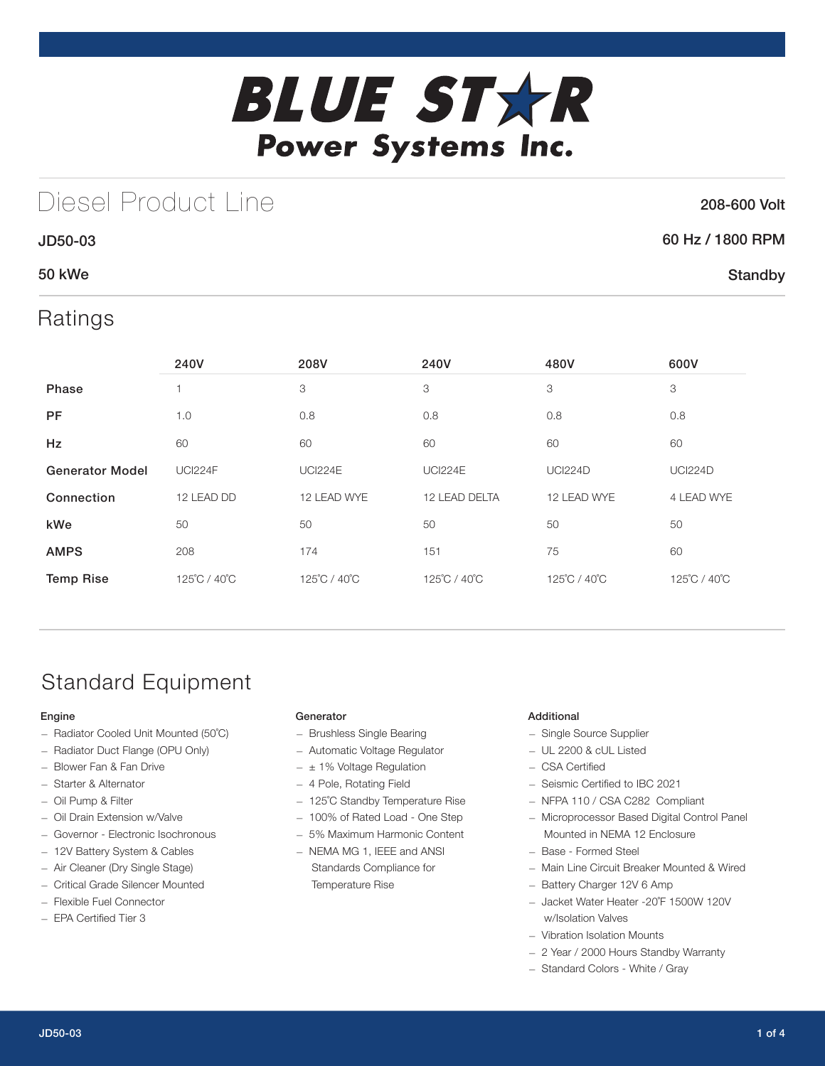

## Diesel Product Line

### 208-600 Volt

**Standby** 

### 60 Hz / 1800 RPM

### 50 kWe

JD50-03

### Ratings

|                        | 240V           | 208V           | 240V           | 480V           | 600V           |
|------------------------|----------------|----------------|----------------|----------------|----------------|
| <b>Phase</b>           |                | 3              | 3              | 3              | 3              |
| <b>PF</b>              | 1.0            | 0.8            | 0.8            | 0.8            | 0.8            |
| Hz                     | 60             | 60             | 60             | 60             | 60             |
| <b>Generator Model</b> | <b>UCI224F</b> | <b>UCI224E</b> | <b>UCI224E</b> | <b>UCI224D</b> | <b>UCI224D</b> |
| Connection             | 12 LEAD DD     | 12 LEAD WYE    | 12 LEAD DELTA  | 12 LEAD WYE    | 4 LEAD WYE     |
| kWe                    | 50             | 50             | 50             | 50             | 50             |
| <b>AMPS</b>            | 208            | 174            | 151            | 75             | 60             |
| <b>Temp Rise</b>       | 125°C / 40°C   | 125°C / 40°C   | 125°C / 40°C   | 125°C / 40°C   | 125°C / 40°C   |

## Standard Equipment

### Engine

- Radiator Cooled Unit Mounted (50˚C)
- Radiator Duct Flange (OPU Only)
- Blower Fan & Fan Drive
- Starter & Alternator
- Oil Pump & Filter
- Oil Drain Extension w/Valve
- Governor Electronic Isochronous
- 12V Battery System & Cables
- Air Cleaner (Dry Single Stage)
- Critical Grade Silencer Mounted
- Flexible Fuel Connector
- EPA Certified Tier 3

### **Generator**

- Brushless Single Bearing
- Automatic Voltage Regulator
- $\pm$  1% Voltage Regulation
- 4 Pole, Rotating Field
- 125˚C Standby Temperature Rise
- 100% of Rated Load One Step
- 5% Maximum Harmonic Content
- NEMA MG 1, IEEE and ANSI Standards Compliance for Temperature Rise

### Additional

- Single Source Supplier
- UL 2200 & cUL Listed
- CSA Certified
- Seismic Certified to IBC 2021
- NFPA 110 / CSA C282 Compliant
- Microprocessor Based Digital Control Panel Mounted in NEMA 12 Enclosure
- Base Formed Steel
- Main Line Circuit Breaker Mounted & Wired
- Battery Charger 12V 6 Amp
- Jacket Water Heater -20˚F 1500W 120V w/Isolation Valves
- Vibration Isolation Mounts
- 2 Year / 2000 Hours Standby Warranty
- Standard Colors White / Gray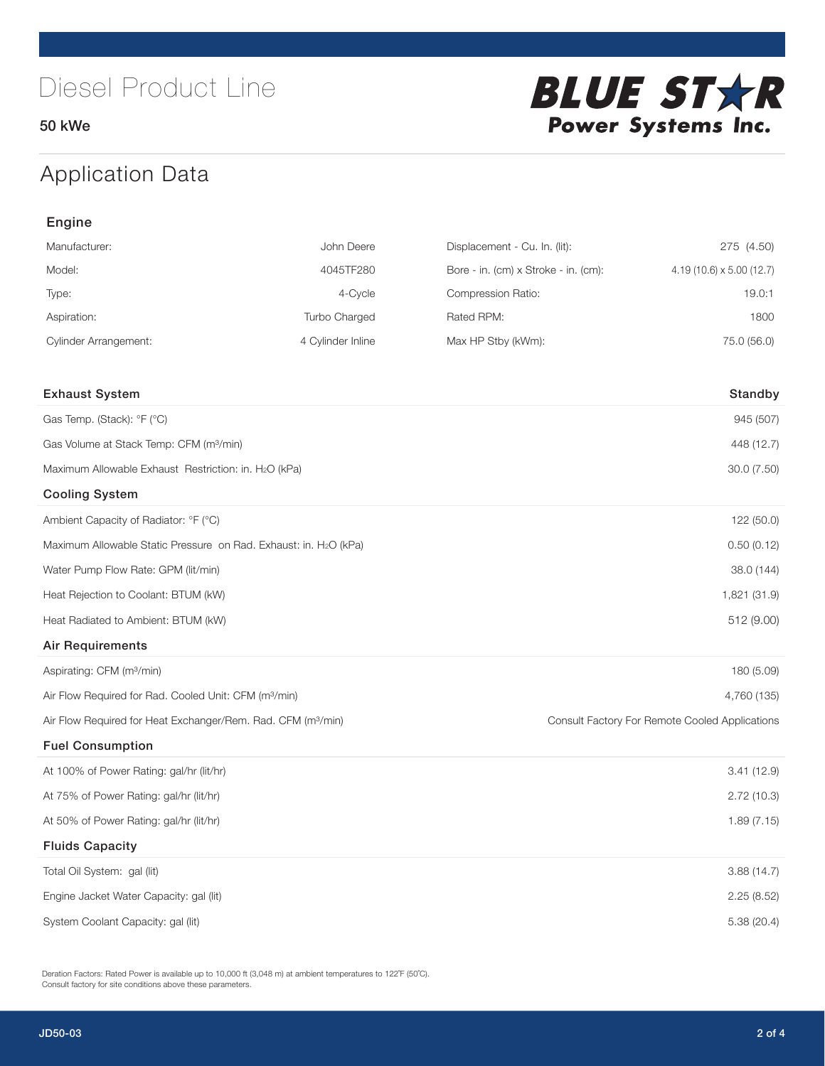50 kWe



## Application Data

| Engine                                                                   |                   |                                      |                                                |  |  |
|--------------------------------------------------------------------------|-------------------|--------------------------------------|------------------------------------------------|--|--|
| Manufacturer:                                                            | John Deere        | Displacement - Cu. In. (lit):        | 275 (4.50)                                     |  |  |
| Model:                                                                   | 4045TF280         | Bore - in. (cm) x Stroke - in. (cm): | $4.19(10.6) \times 5.00(12.7)$                 |  |  |
| Type:                                                                    | 4-Cycle           | Compression Ratio:                   | 19.0:1                                         |  |  |
| Aspiration:                                                              | Turbo Charged     | Rated RPM:                           | 1800                                           |  |  |
| <b>Cylinder Arrangement:</b>                                             | 4 Cylinder Inline | Max HP Stby (kWm):                   | 75.0 (56.0)                                    |  |  |
|                                                                          |                   |                                      |                                                |  |  |
| <b>Exhaust System</b>                                                    |                   |                                      | Standby                                        |  |  |
| Gas Temp. (Stack): °F (°C)                                               |                   |                                      | 945 (507)                                      |  |  |
| Gas Volume at Stack Temp: CFM (m <sup>3</sup> /min)                      |                   |                                      | 448 (12.7)                                     |  |  |
| Maximum Allowable Exhaust Restriction: in. H2O (kPa)                     |                   |                                      | 30.0 (7.50)                                    |  |  |
| <b>Cooling System</b>                                                    |                   |                                      |                                                |  |  |
| Ambient Capacity of Radiator: °F (°C)                                    |                   |                                      | 122 (50.0)                                     |  |  |
| Maximum Allowable Static Pressure on Rad. Exhaust: in. H2O (kPa)         |                   | 0.50(0.12)                           |                                                |  |  |
| Water Pump Flow Rate: GPM (lit/min)                                      |                   | 38.0 (144)                           |                                                |  |  |
| Heat Rejection to Coolant: BTUM (kW)                                     |                   |                                      | 1,821 (31.9)                                   |  |  |
| Heat Radiated to Ambient: BTUM (kW)                                      |                   |                                      | 512 (9.00)                                     |  |  |
| <b>Air Requirements</b>                                                  |                   |                                      |                                                |  |  |
| Aspirating: CFM (m <sup>3</sup> /min)                                    |                   |                                      | 180 (5.09)                                     |  |  |
| Air Flow Required for Rad. Cooled Unit: CFM (m <sup>3</sup> /min)        |                   |                                      | 4,760 (135)                                    |  |  |
| Air Flow Required for Heat Exchanger/Rem. Rad. CFM (m <sup>3</sup> /min) |                   |                                      | Consult Factory For Remote Cooled Applications |  |  |
| <b>Fuel Consumption</b>                                                  |                   |                                      |                                                |  |  |
| At 100% of Power Rating: gal/hr (lit/hr)                                 |                   |                                      | 3.41(12.9)                                     |  |  |
| At 75% of Power Rating: gal/hr (lit/hr)                                  |                   |                                      | 2.72(10.3)                                     |  |  |
| At 50% of Power Rating: gal/hr (lit/hr)                                  |                   |                                      | 1.89 (7.15)                                    |  |  |
| <b>Fluids Capacity</b>                                                   |                   |                                      |                                                |  |  |
| Total Oil System: gal (lit)                                              |                   |                                      | 3.88(14.7)                                     |  |  |
| Engine Jacket Water Capacity: gal (lit)                                  |                   |                                      | 2.25(8.52)                                     |  |  |
| System Coolant Capacity: gal (lit)                                       |                   |                                      | 5.38 (20.4)                                    |  |  |

Deration Factors: Rated Power is available up to 10,000 ft (3,048 m) at ambient temperatures to 122°F (50°C). Consult factory for site conditions above these parameters.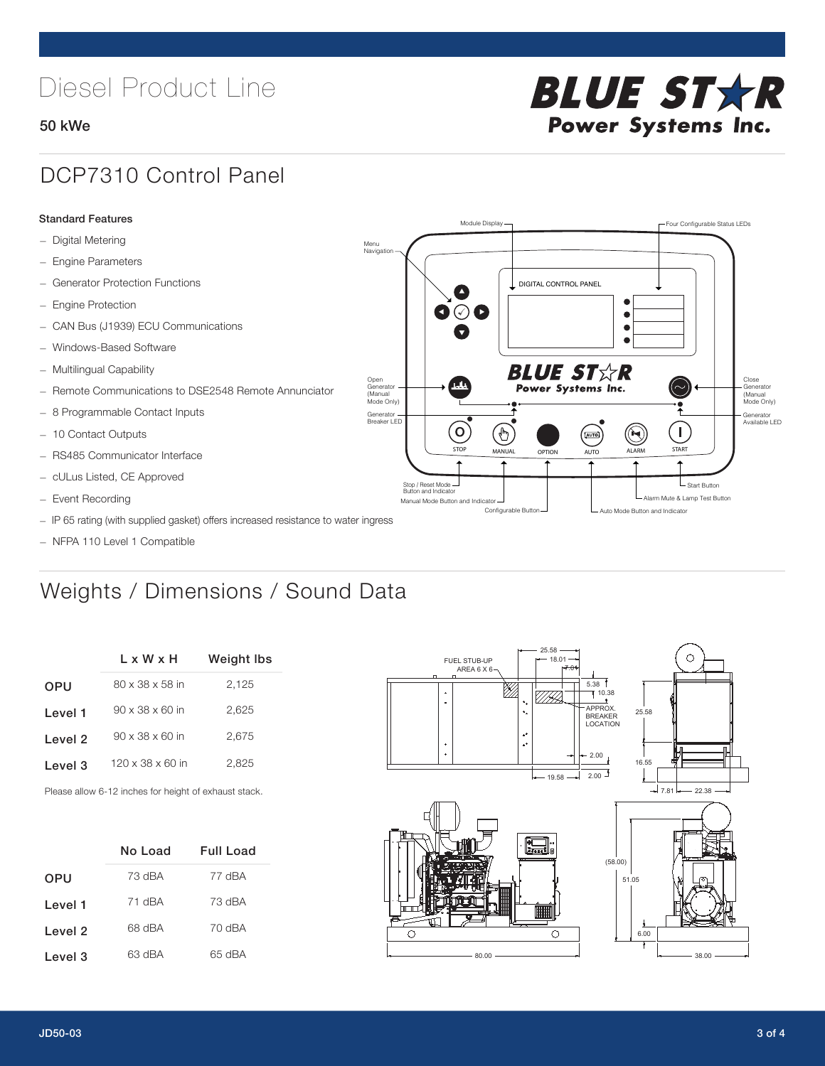# Diesel Product Line

### 50 kWe



## DCP7310 Control Panel

#### Standard Features

- Digital Metering
- Engine Parameters
- Generator Protection Functions
- Engine Protection
- CAN Bus (J1939) ECU Communications
- Windows-Based Software
- Multilingual Capability
- Remote Communications to DSE2548 Remote Annunciator
- 8 Programmable Contact Inputs
- 10 Contact Outputs
- RS485 Communicator Interface
- cULus Listed, CE Approved
- Event Recording
- IP 65 rating (with supplied gasket) offers increased resistance to water ingress
- NFPA 110 Level 1 Compatible

## Weights / Dimensions / Sound Data

|                    | L x W x H                    | Weight Ibs |  |  |
|--------------------|------------------------------|------------|--|--|
| <b>OPU</b>         | 80 x 38 x 58 in              | 2,125      |  |  |
| Level 1            | $90 \times 38 \times 60$ in  | 2.625      |  |  |
| Level 2            | $90 \times 38 \times 60$ in  | 2.675      |  |  |
| Level <sub>3</sub> | $120 \times 38 \times 60$ in | 2,825      |  |  |
|                    |                              |            |  |  |

Please allow 6-12 inches for height of exhaust stack.

|            | No Load | Full Load |
|------------|---------|-----------|
| <b>OPU</b> | 73 dBA  | 77 dBA    |
| Level 1    | 71 dBA  | 73 dBA    |
| Level 2    | 68 dBA  | 70 dBA    |
| Level 3    | 63 dBA  | 65 dBA    |



STOP MANUAL OPTION AUTO ALARM START

[AUTO]

**BLUE STAR** Power Systems Inc.

Manual Mode Button and Indicator Sultane Mute & Lamp Test Button Mute & Lamp Test Button Mute & Lamp Test Button Configurable Button -  $\Box$  Auto Mode Button and Indicator

DIGITAL CONTROL PANEL

Module Display  $\Box$ 

 $\bullet$  $\bullet$  $\bullet$ 

 $\circledcirc$ 

Menu Navigation

Open Generator (Manual Mode Only)

Generator Breaker LED

Stop / Reset Mode Button and Indicator

 $\bullet$  $\bullet$   $\circ$   $\bullet$ 

 $\sigma$ 

 $\mathbf{r}$ 

Close Generator (Manual Mode Only)

Generator Available LED

- Start Button

 $\blacksquare$